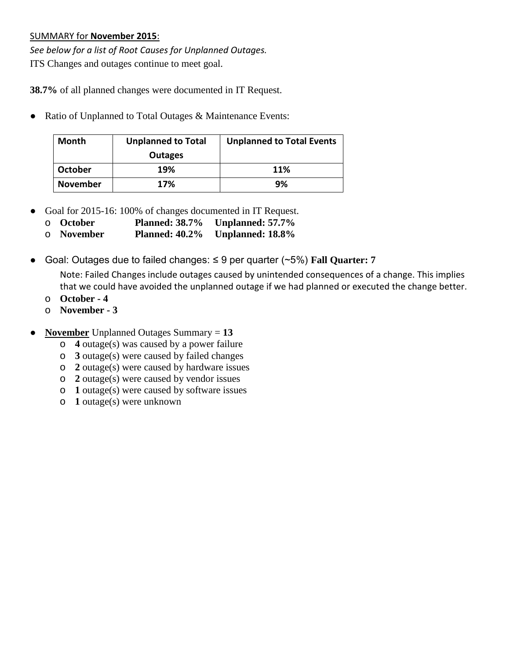## SUMMARY for **November 2015**:

*See below for a list of Root Causes for Unplanned Outages.* ITS Changes and outages continue to meet goal.

**38.7%** of all planned changes were documented in IT Request.

• Ratio of Unplanned to Total Outages & Maintenance Events:

| <b>Month</b>    | <b>Unplanned to Total</b> | <b>Unplanned to Total Events</b> |  |  |
|-----------------|---------------------------|----------------------------------|--|--|
|                 | <b>Outages</b>            |                                  |  |  |
| October         | 19%                       | <b>11%</b>                       |  |  |
| <b>November</b> | 17%                       | 9%                               |  |  |

- Goal for 2015-16: 100% of changes documented in IT Request.
	- o **October Planned: 38.7% Unplanned: 57.7%**
	- o **November Planned: 40.2% Unplanned: 18.8%**
- Goal: Outages due to failed changes: ≤ 9 per quarter (~5%) **Fall Quarter: 7**

Note: Failed Changes include outages caused by unintended consequences of a change. This implies that we could have avoided the unplanned outage if we had planned or executed the change better.

- o **October - 4**
- o **November - 3**
- **November** Unplanned Outages Summary = **13**
	- o **4** outage(s) was caused by a power failure
	- o **3** outage(s) were caused by failed changes
	- o **2** outage(s) were caused by hardware issues
	- o **2** outage(s) were caused by vendor issues
	- o **1** outage(s) were caused by software issues
	- o **1** outage(s) were unknown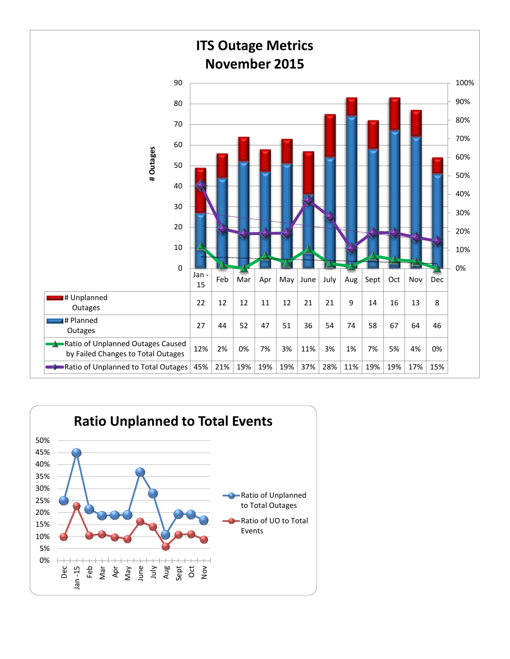